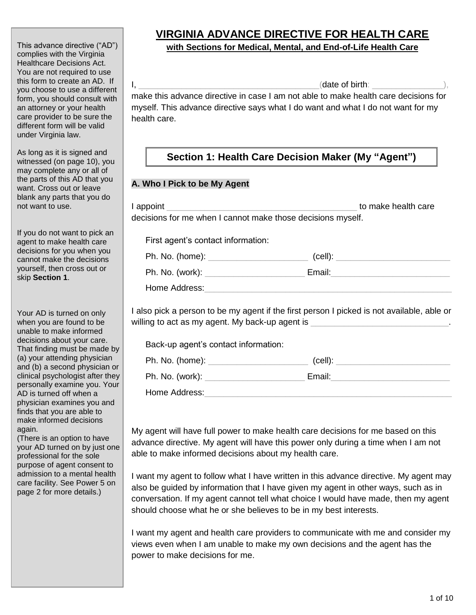This advance directive ("AD") complies with the Virginia Healthcare Decisions Act. You are not required to use this form to create an AD. If you choose to use a different form, you should consult with an attorney or your health care provider to be sure the different form will be valid under Virginia law.

As long as it is signed and witnessed (on page 10), you may complete any or all of the parts of this AD that you want. Cross out or leave blank any parts that you do not want to use.

If you do not want to pick an agent to make health care decisions for you when you cannot make the decisions yourself, then cross out or skip **Section 1**.

Your AD is turned on only when you are found to be unable to make informed decisions about your care. That finding must be made by (a) your attending physician and (b) a second physician or clinical psychologist after they personally examine you. Your AD is turned off when a physician examines you and finds that you are able to make informed decisions again.

(There is an option to have your AD turned on by just one professional for the sole purpose of agent consent to admission to a mental health care facility. See Power 5 on page 2 for more details.)

# **VIRGINIA ADVANCE DIRECTIVE FOR HEALTH CARE**

#### **with Sections for Medical, Mental, and End-of-Life Health Care**

 $I,$ 

make this advance directive in case I am not able to make health care decisions for myself. This advance directive says what I do want and what I do not want for my health care.

## **Section 1: Health Care Decision Maker (My "Agent")**

#### **A. Who I Pick to be My Agent**

| l appoint<br>decisions for me when I cannot make those decisions myself. | to make health care                                                                                                                                                            |  |
|--------------------------------------------------------------------------|--------------------------------------------------------------------------------------------------------------------------------------------------------------------------------|--|
| First agent's contact information:                                       |                                                                                                                                                                                |  |
|                                                                          | $\left(\text{cell}\right):$                                                                                                                                                    |  |
|                                                                          |                                                                                                                                                                                |  |
| Home Address:                                                            |                                                                                                                                                                                |  |
|                                                                          | I also pick a person to be my agent if the first person I picked is not available, able or<br>willing to act as my agent. My back-up agent is ________________________________ |  |

Back-up agent's contact information:

| Ph. No. (home): | (cell): |  |
|-----------------|---------|--|
| Ph. No. (work): | Email:  |  |
| Home Address:   |         |  |

My agent will have full power to make health care decisions for me based on this advance directive. My agent will have this power only during a time when I am not able to make informed decisions about my health care.

I want my agent to follow what I have written in this advance directive. My agent may also be guided by information that I have given my agent in other ways, such as in conversation. If my agent cannot tell what choice I would have made, then my agent should choose what he or she believes to be in my best interests.

I want my agent and health care providers to communicate with me and consider my views even when I am unable to make my own decisions and the agent has the power to make decisions for me.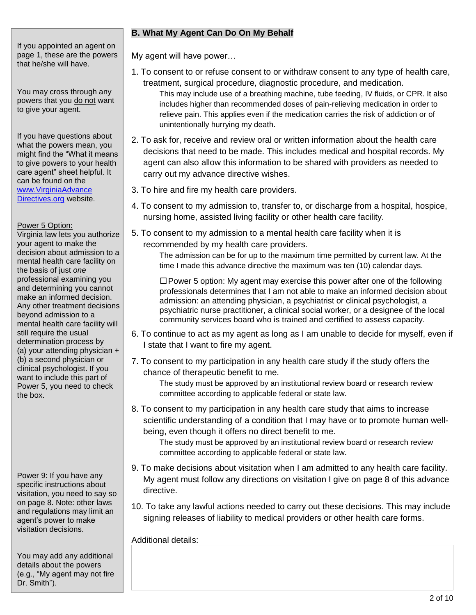If you appointed an agent on page 1, these are the powers that he/she will have.

You may cross through any powers that you do not want to give your agent.

If you have questions about what the powers mean, you might find the "What it means to give powers to your health care agent" sheet helpful. It can be found on the www.VirginiaAdvance Directives.org website.

#### Power 5 Option:

Virginia law lets you authorize your agent to make the decision about admission to a mental health care facility on the basis of just *one* professional examining you and determining you cannot make an informed decision. Any other treatment decisions beyond admission to a mental health care facility will still require the usual determination process by (a) your attending physician + (b) a second physician or clinical psychologist. If you want to include this part of Power 5, you need to check the box.

Power 9: If you have any specific instructions about visitation, you need to say so on page 8. Note: other laws and regulations may limit an agent's power to make visitation decisions.

You may add any additional details about the powers (e.g., "My agent may not fire Dr. Smith").

### **B. What My Agent Can Do On My Behalf**

My agent will have power…

- 1. To consent to or refuse consent to or withdraw consent to any type of health care, treatment, surgical procedure, diagnostic procedure, and medication.
	- This may include use of a breathing machine, tube feeding, IV fluids, or CPR. It also includes higher than recommended doses of pain-relieving medication in order to relieve pain. This applies even if the medication carries the risk of addiction or of unintentionally hurrying my death.
- 2. To ask for, receive and review oral or written information about the health care decisions that need to be made. This includes medical and hospital records. My agent can also allow this information to be shared with providers as needed to carry out my advance directive wishes.
- 3. To hire and fire my health care providers.
- 4. To consent to my admission to, transfer to, or discharge from a hospital, hospice, nursing home, assisted living facility or other health care facility.
- 5. To consent to my admission to a mental health care facility when it is recommended by my health care providers.

The admission can be for up to the maximum time permitted by current law. At the time I made this advance directive the maximum was ten (10) calendar days.

 $\square$  Power 5 option: My agent may exercise this power after one of the following professionals determines that I am not able to make an informed decision about admission: an attending physician, a psychiatrist or clinical psychologist, a psychiatric nurse practitioner, a clinical social worker, or a designee of the local community services board who is trained and certified to assess capacity.

- 6. To continue to act as my agent as long as I am unable to decide for myself, even if I state that I want to fire my agent.
- 7. To consent to my participation in any health care study if the study offers the chance of therapeutic benefit to me.

The study must be approved by an institutional review board or research review committee according to applicable federal or state law.

8. To consent to my participation in any health care study that aims to increase scientific understanding of a condition that I may have or to promote human wellbeing, even though it offers no direct benefit to me.

The study must be approved by an institutional review board or research review committee according to applicable federal or state law.

- 9. To make decisions about visitation when I am admitted to any health care facility. My agent must follow any directions on visitation I give on page 8 of this advance directive.
- 10. To take any lawful actions needed to carry out these decisions. This may include signing releases of liability to medical providers or other health care forms.

Additional details: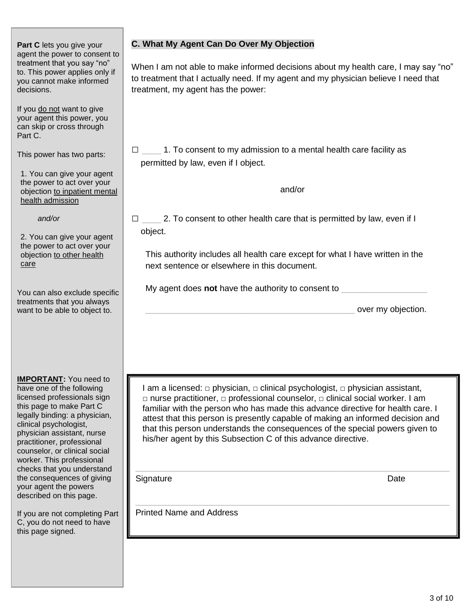**Part C** lets you give your agent the power to consent to treatment that you say "no" to. This power applies only if you cannot make informed decisions.

If you do not want to give your agent this power, you can skip or cross through Part C.

This power has two parts:

1. You can give your agent the power to act over your objection to inpatient mental health admission

 *and/or*

2. You can give your agent the power to act over your objection to other health care

You can also exclude specific treatments that you always want to be able to object to.

**IMPORTANT:** You need to have one of the following licensed professionals sign this page to make Part C legally binding: a physician, clinical psychologist, physician assistant, nurse practitioner, professional counselor, or clinical social worker. This professional checks that you understand the consequences of giving your agent the powers described on this page.

If you are not completing Part C, you do not need to have this page signed.

#### **C. What My Agent Can Do Over My Objection**

When I am not able to make informed decisions about my health care, I may say "no" to treatment that I actually need. If my agent and my physician believe I need that treatment, my agent has the power:

 $\Box$  \_\_\_\_\_\_ 1. To consent to my admission to a mental health care facility as permitted by law, even if I object.

and/or

 $\Box$  2. To consent to other health care that is permitted by law, even if I object.

This authority includes all health care except for what I have written in the next sentence or elsewhere in this document.

My agent does **not** have the authority to consent to

\_\_\_\_\_\_\_\_\_\_\_\_\_\_\_\_\_\_\_\_\_\_\_\_\_\_\_\_\_\_\_\_\_\_\_\_\_\_\_\_\_\_\_\_ over my objection.

I am a licensed:  $\Box$  physician,  $\Box$  clinical psychologist,  $\Box$  physician assistant, □ nurse practitioner, □ professional counselor, □ clinical social worker. I am familiar with the person who has made this advance directive for health care. I attest that this person is presently capable of making an informed decision and that this person understands the consequences of the special powers given to his/her agent by this Subsection C of this advance directive.

 $\_$  , and the set of the set of the set of the set of the set of the set of the set of the set of the set of the set of the set of the set of the set of the set of the set of the set of the set of the set of the set of th

 $\_$  , and the set of the set of the set of the set of the set of the set of the set of the set of the set of the set of the set of the set of the set of the set of the set of the set of the set of the set of the set of th

Signature Date Date Date Contract and Date Date Date Date

Printed Name and Address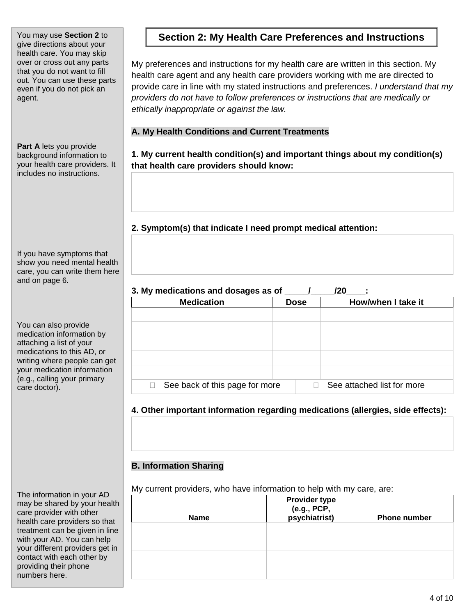give directions about your health care. You may skip over or cross out any parts that you do not want to fill out. You can use these parts even if you do not pick an agent.

**Part A** lets you provide background information to your health care providers. It includes no instructions.

If you have symptoms that show you need mental health care, you can write them here and on page 6.

You can also provide medication information by attaching a list of your medications to this AD, or writing where people can get your medication information (e.g., calling your primary care doctor).

The information in your AD may be shared by your health care provider with other health care providers so that treatment can be given in line with your AD. You can help your different providers get in contact with each other by providing their phone numbers here.

## You may use Section 2 to **Section 2: My Health Care Preferences and Instructions**

My preferences and instructions for my health care are written in this section. My health care agent and any health care providers working with me are directed to provide care in line with my stated instructions and preferences. *I understand that my providers do not have to follow preferences or instructions that are medically or ethically inappropriate or against the law.*

### **A. My Health Conditions and Current Treatments**

**1. My current health condition(s) and important things about my condition(s) that health care providers should know:** 

**2. Symptom(s) that indicate I need prompt medical attention:** 

## 3. My medications and dosages as of  $\overline{a}$  /  $\overline{a}$  /20  $\overline{a}$  :

| <b>Medication</b>              | <b>Dose</b> | How/when I take it         |  |
|--------------------------------|-------------|----------------------------|--|
|                                |             |                            |  |
|                                |             |                            |  |
|                                |             |                            |  |
|                                |             |                            |  |
|                                |             |                            |  |
|                                |             |                            |  |
|                                |             |                            |  |
| See back of this page for more |             | See attached list for more |  |

## **4. Other important information regarding medications (allergies, side effects):**

## **B. Information Sharing**

My current providers, who have information to help with my care, are:

| <b>Name</b> | <b>Provider type</b><br>(e.g., PCP,<br>psychiatrist) | <b>Phone number</b> |
|-------------|------------------------------------------------------|---------------------|
|             |                                                      |                     |
|             |                                                      |                     |
|             |                                                      |                     |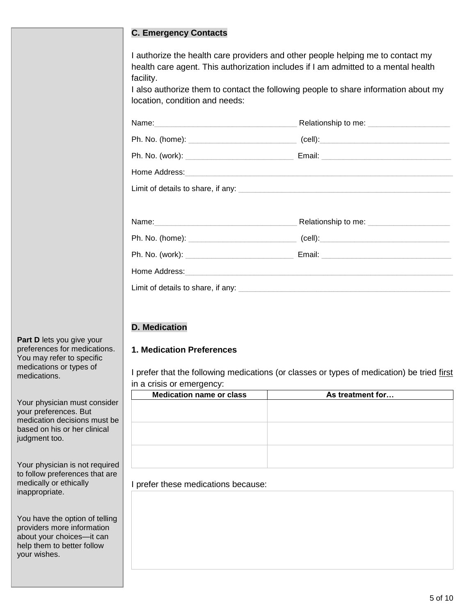#### **C. Emergency Contacts**

I authorize the health care providers and other people helping me to contact my health care agent. This authorization includes if I am admitted to a mental health facility.

I also authorize them to contact the following people to share information about my location, condition and needs:

| Ph. No. (home): ___________________________________(cell):______________________                                                                                                                                                    |  |
|-------------------------------------------------------------------------------------------------------------------------------------------------------------------------------------------------------------------------------------|--|
|                                                                                                                                                                                                                                     |  |
|                                                                                                                                                                                                                                     |  |
|                                                                                                                                                                                                                                     |  |
|                                                                                                                                                                                                                                     |  |
| Name: <u>Communications</u> Relationship to me: Communications and Communications of the set of the set of the set of the set of the set of the set of the set of the set of the set of the set of the set of the set of the set of |  |
|                                                                                                                                                                                                                                     |  |
|                                                                                                                                                                                                                                     |  |
| Home Address: Note of the Committee of the Committee of the Committee of the Committee of the Committee of the                                                                                                                      |  |
|                                                                                                                                                                                                                                     |  |

#### **D. Medication**

#### **1. Medication Preferences**

I prefer that the following medications (or classes or types of medication) be tried first in a crisis or emergency:

| ີ<br><u>.</u>                   |                  |
|---------------------------------|------------------|
| <b>Medication name or class</b> | As treatment for |
|                                 |                  |
|                                 |                  |
|                                 |                  |
|                                 |                  |
|                                 |                  |
|                                 |                  |
|                                 |                  |
|                                 |                  |

I prefer these medications because:

**Part D** lets you give your preferences for medications. You may refer to specific medications or types of medications.

Your physician must consider your preferences. But medication decisions must be based on his or her clinical judgment too.

Your physician is not required to follow preferences that are medically or ethically inappropriate.

You have the option of telling providers more information about your choices—it can help them to better follow your wishes.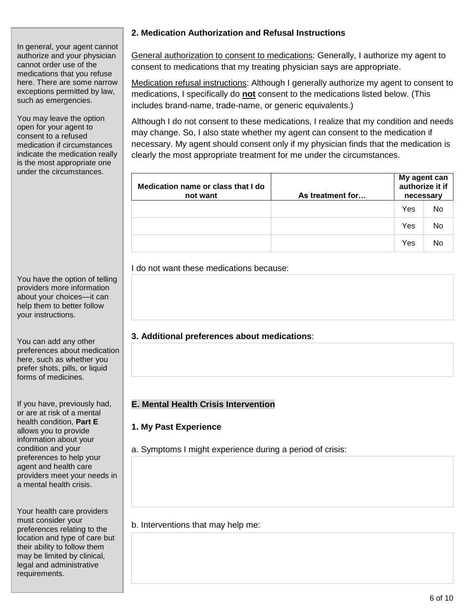#### In general, your agent cannot authorize and your physician cannot order use of the medications that you refuse here. There are some narrow exceptions permitted by law, such as emergencies.

You may leave the option open for your agent to consent to a refused medication if circumstances indicate the medication really is the most appropriate one under the circumstances.

You have the option of telling providers more information about your choices—it can help them to better follow your instructions.

You can add any other preferences about medication here, such as whether you prefer shots, pills, or liquid forms of medicines.

If you have, previously had, or are at risk of a mental health condition, **Part E** allows you to provide information about your condition and your preferences to help your agent and health care providers meet your needs in a mental health crisis.

Your health care providers must consider your preferences relating to the location and type of care but their ability to follow them may be limited by clinical, legal and administrative requirements.

## **2. Medication Authorization and Refusal Instructions**

General authorization to consent to medications: Generally, I authorize my agent to consent to medications that my treating physician says are appropriate.

Medication refusal instructions: Although I generally authorize my agent to consent to medications, I specifically do **not** consent to the medications listed below. (This includes brand-name, trade-name, or generic equivalents.)

Although I do not consent to these medications, I realize that my condition and needs may change. So, I also state whether my agent can consent to the medication if necessary. My agent should consent only if my physician finds that the medication is clearly the most appropriate treatment for me under the circumstances.

| Medication name or class that I do<br>not want | As treatment for | My agent can<br>authorize it if<br>necessary |           |
|------------------------------------------------|------------------|----------------------------------------------|-----------|
|                                                |                  | Yes                                          | <b>No</b> |
|                                                |                  | Yes                                          | No        |
|                                                |                  | Yes                                          | No        |

#### I do not want these medications because:

## **3. Additional preferences about medications**:

#### **E. Mental Health Crisis Intervention**

#### **1. My Past Experience**

a. Symptoms I might experience during a period of crisis:

b. Interventions that may help me: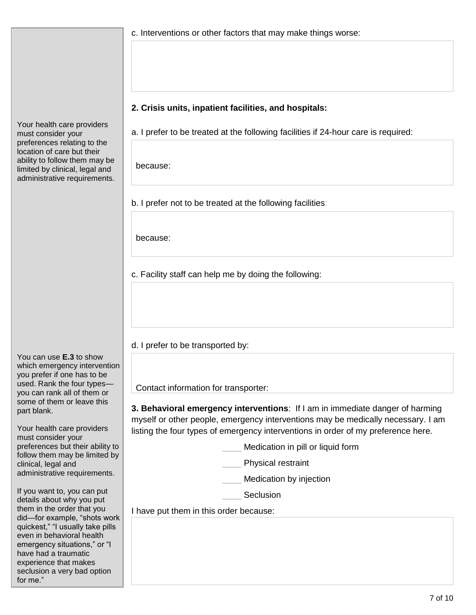Your health care providers must consider your preferences relating to the location of care but their ability to follow them may be limited by clinical, legal and administrative requirements.

You can use **E.3** to show which emergency intervention you prefer if one has to be used. Rank the four types you can rank all of them or some of them or leave this part blank.

Your health care providers must consider your preferences but their ability to follow them may be limited by clinical, legal and administrative requirements.

If you want to, you can put details about why you put them in the order that you did—for example, "shots work quickest," "I usually take pills even in behavioral health emergency situations," or "I have had a traumatic experience that makes seclusion a very bad option for me."

c. Interventions or other factors that may make things worse:

#### **2. Crisis units, inpatient facilities, and hospitals:**

a. I prefer to be treated at the following facilities if 24-hour care is required:

because:

b. I prefer not to be treated at the following facilities:

because:

c. Facility staff can help me by doing the following:

d. I prefer to be transported by:

Contact information for transporter:

**3. Behavioral emergency interventions**: If I am in immediate danger of harming myself or other people, emergency interventions may be medically necessary. I am listing the four types of emergency interventions in order of my preference here.

Medication in pill or liquid form

Physical restraint

Medication by injection

**Seclusion** 

I have put them in this order because: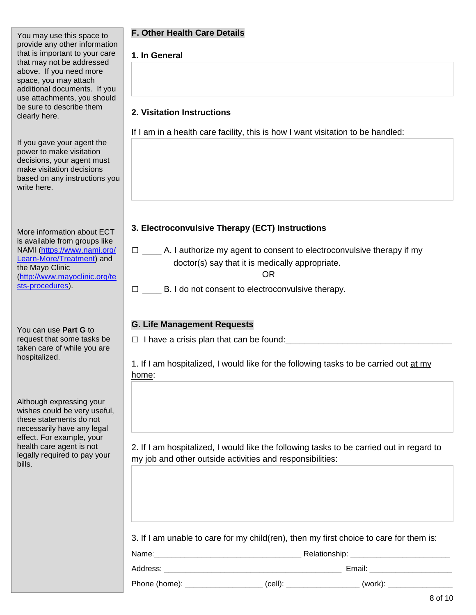You may use this space to provide any other information that is important to your care that may not be addressed above. If you need more space, you may attach additional documents. If you use attachments, you should be sure to describe them clearly here.

If you gave your agent the power to make visitation decisions, your agent must make visitation decisions based on any instructions you write here.

More information about ECT is available from groups like NAMI [\(https://www.nami.org/](https://www.nami.org/%20Learn-More/Treatment) [Learn-More/Treatment\)](https://www.nami.org/%20Learn-More/Treatment) and the Mayo Clinic [\(http://www.mayoclinic.org/te](http://www.mayoclinic.org/tests-procedures) [sts-procedures\)](http://www.mayoclinic.org/tests-procedures).

You can use **Part G** to request that some tasks be taken care of while you are hospitalized.

Although expressing your wishes could be very useful, these statements do not necessarily have any legal effect. For example, your health care agent is not legally required to pay your bills.

## **F. Other Health Care Details**

## **1. In General**

## **2. Visitation Instructions**

If I am in a health care facility, this is how I want visitation to be handled:

## **3. Electroconvulsive Therapy (ECT) Instructions**

 $\Box$  \_\_\_\_\_\_ A. I authorize my agent to consent to electroconvulsive therapy if my doctor(s) say that it is medically appropriate.

OR

 $\Box$  B. I do not consent to electroconvulsive therapy.

#### **G. Life Management Requests**

 $\Box$  I have a crisis plan that can be found:

1. If I am hospitalized, I would like for the following tasks to be carried out at my home:

2. If I am hospitalized, I would like the following tasks to be carried out in regard to my job and other outside activities and responsibilities:

3. If I am unable to care for my child(ren), then my first choice to care for them is:

Name: etc. Alternative management of the Relationship:

Address: \_\_\_\_\_\_\_\_\_\_\_\_\_\_\_\_\_\_\_\_\_\_\_\_\_\_\_\_\_\_\_\_\_\_\_\_\_\_\_\_\_ Email: \_\_\_\_\_\_\_\_\_\_\_\_\_\_\_\_\_\_\_

Phone (home): \_\_\_\_\_\_\_\_\_\_\_\_\_\_\_\_\_\_ (cell): \_\_\_\_\_\_\_\_\_\_\_\_\_\_\_\_\_ (work): \_\_\_\_\_\_\_\_\_\_\_\_\_\_\_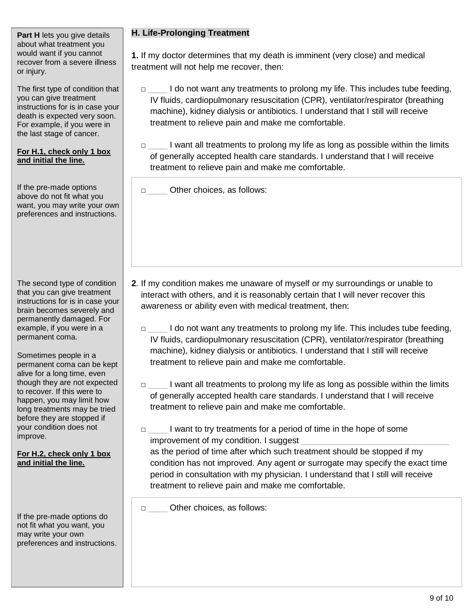**Part H** lets you give details about what treatment you would want if you cannot recover from a severe illness or injury.

The first type of condition that you can give treatment instructions for is in case your death is expected very soon. For example, if you were in the last stage of cancer.

#### **For H.1, check only 1 box and initial the line.**

If the pre-made options above do not fit what you want, you may write your own preferences and instructions.

The second type of condition that you can give treatment instructions for is in case your brain becomes severely and permanently damaged. For example, if you were in a permanent coma.

Sometimes people in a permanent coma can be kept alive for a long time, even though they are not expected to recover. If this were to happen, you may limit how long treatments may be tried before they are stopped if your condition does not improve.

**For H.2, check only 1 box and initial the line.**

If the pre-made options do not fit what you want, you may write your own preferences and instructions.

## **H. Life-Prolonging Treatment**

**1.** If my doctor determines that my death is imminent (very close) and medical treatment will not help me recover, then:

□ \_\_\_\_\_ I do not want any treatments to prolong my life. This includes tube feeding, IV fluids, cardiopulmonary resuscitation (CPR), ventilator/respirator (breathing machine), kidney dialysis or antibiotics. I understand that I still will receive treatment to relieve pain and make me comfortable.

□ \_\_\_\_\_\_ I want all treatments to prolong my life as long as possible within the limits of generally accepted health care standards. I understand that I will receive treatment to relieve pain and make me comfortable.

□ Other choices, as follows:

- **2***.* If my condition makes me unaware of myself or my surroundings or unable to interact with others, and it is reasonably certain that I will never recover this awareness or ability even with medical treatment, then:
	- □ \_\_\_\_\_ I do not want any treatments to prolong my life. This includes tube feeding, IV fluids, cardiopulmonary resuscitation (CPR), ventilator/respirator (breathing machine), kidney dialysis or antibiotics. I understand that I still will receive treatment to relieve pain and make me comfortable.
	- □ \_\_\_\_\_\_ I want all treatments to prolong my life as long as possible within the limits of generally accepted health care standards. I understand that I will receive treatment to relieve pain and make me comfortable.
	- □ l want to try treatments for a period of time in the hope of some improvement of my condition. I suggest

as the period of time after which such treatment should be stopped if my condition has not improved. Any agent or surrogate may specify the exact time period in consultation with my physician. I understand that I still will receive treatment to relieve pain and make me comfortable.

□ Other choices, as follows: